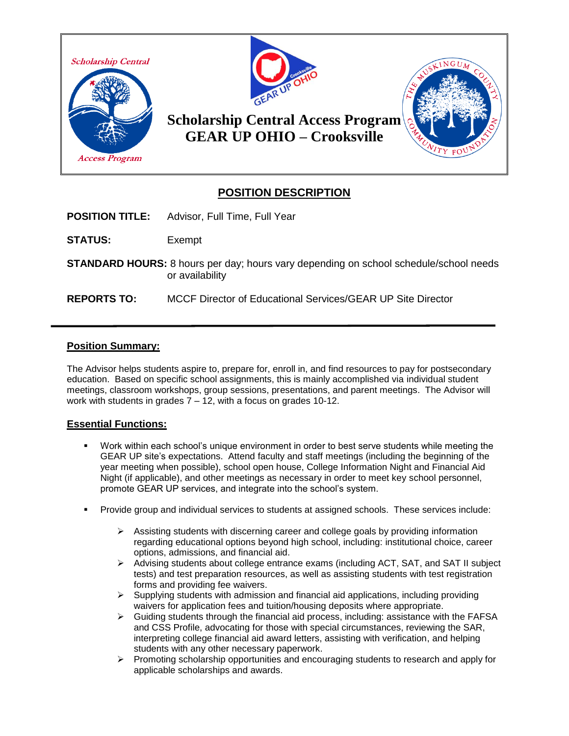

# **POSITION DESCRIPTION**

**POSITION TITLE:** Advisor, Full Time, Full Year

**STATUS:** Exempt

**STANDARD HOURS:** 8 hours per day; hours vary depending on school schedule/school needs or availability

**REPORTS TO:** MCCF Director of Educational Services/GEAR UP Site Director

#### **Position Summary:**

The Advisor helps students aspire to, prepare for, enroll in, and find resources to pay for postsecondary education. Based on specific school assignments, this is mainly accomplished via individual student meetings, classroom workshops, group sessions, presentations, and parent meetings. The Advisor will work with students in grades 7 – 12, with a focus on grades 10-12.

## **Essential Functions:**

- Work within each school's unique environment in order to best serve students while meeting the GEAR UP site's expectations. Attend faculty and staff meetings (including the beginning of the year meeting when possible), school open house, College Information Night and Financial Aid Night (if applicable), and other meetings as necessary in order to meet key school personnel, promote GEAR UP services, and integrate into the school's system.
- Provide group and individual services to students at assigned schools. These services include:
	- $\triangleright$  Assisting students with discerning career and college goals by providing information regarding educational options beyond high school, including: institutional choice, career options, admissions, and financial aid.
	- ➢ Advising students about college entrance exams (including ACT, SAT, and SAT II subject tests) and test preparation resources, as well as assisting students with test registration forms and providing fee waivers.
	- $\triangleright$  Supplying students with admission and financial aid applications, including providing waivers for application fees and tuition/housing deposits where appropriate.
	- $\triangleright$  Guiding students through the financial aid process, including: assistance with the FAFSA and CSS Profile, advocating for those with special circumstances, reviewing the SAR, interpreting college financial aid award letters, assisting with verification, and helping students with any other necessary paperwork.
	- $\triangleright$  Promoting scholarship opportunities and encouraging students to research and apply for applicable scholarships and awards.